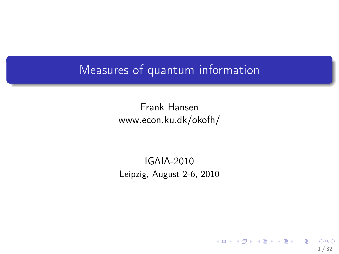## Measures of quantum information

### Frank Hansen www.econ.ku.dk/okofh/

### IGAIA-2010 Leipzig, August 2-6, 2010

1 / 32

 $2990$ 

イロト 不優 ト 不思 ト 不思 トー 温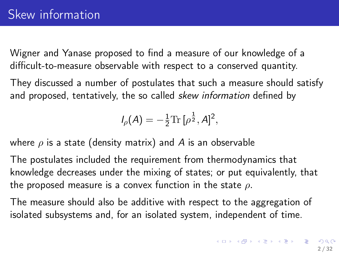Wigner and Yanase proposed to find a measure of our knowledge of a difficult-to-measure observable with respect to a conserved quantity.

They discussed a number of postulates that such a measure should satisfy and proposed, tentatively, the so called *skew information* defined by

$$
I_{\rho}(A) = -\frac{1}{2} \text{Tr} \left[ \rho^{\frac{1}{2}}, A \right]^2,
$$

where  $\rho$  is a state (density matrix) and A is an observable

The postulates included the requirement from thermodynamics that knowledge decreases under the mixing of states; or put equivalently, that the proposed measure is a convex function in the state  $\rho$ .

The measure should also be additive with respect to the aggregation of isolated subsystems and, for an isolated system, independent of time.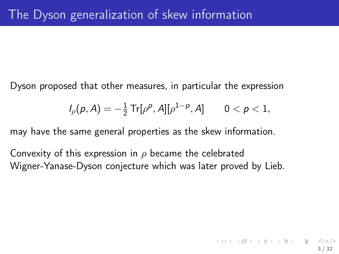Dyson proposed that other measures, in particular the expression

$$
I_{\rho}(p, A) = -\frac{1}{2} \operatorname{Tr}[\rho^p, A][\rho^{1-p}, A] \qquad 0 < p < 1,
$$

may have the same general properties as the skew information.

Convexity of this expression in  $\rho$  became the celebrated Wigner-Yanase-Dyson conjecture which was later proved by Lieb.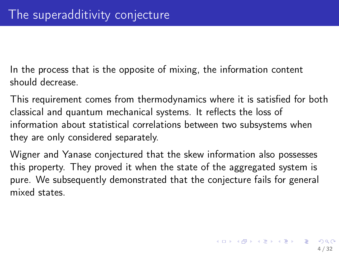In the process that is the opposite of mixing, the information content should decrease.

This requirement comes from thermodynamics where it is satisfied for both classical and quantum mechanical systems. It reflects the loss of information about statistical correlations between two subsystems when they are only considered separately.

Wigner and Yanase conjectured that the skew information also possesses this property. They proved it when the state of the aggregated system is pure. We subsequently demonstrated that the conjecture fails for general mixed states.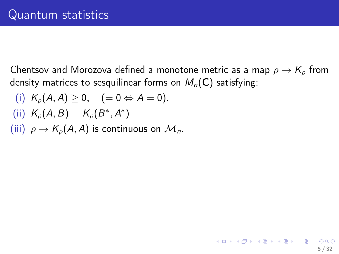Chentsov and Morozova defined a monotone metric as a map  $\rho \to K_{\rho}$  from density matrices to sesquilinear forms on  $M_n(C)$  satisfying:

5 / 32

K ロ X x (@ X X 营 X X 营 X ) 를 → ⊙ Q (~

(i) 
$$
K_{\rho}(A, A) \ge 0
$$
,  $(= 0 \Leftrightarrow A = 0)$ .

$$
(ii) K_{\rho}(A, B) = K_{\rho}(B^*, A^*)
$$

(iii)  $\rho \to K_o(A, A)$  is continuous on  $\mathcal{M}_n$ .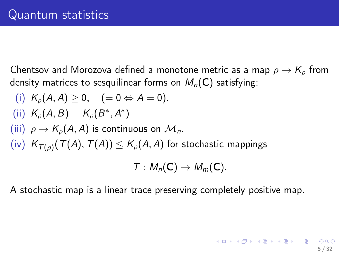Chentsov and Morozova defined a monotone metric as a map  $\rho \to K_{\rho}$  from density matrices to sesquilinear forms on  $M_n(C)$  satisfying:

(i) 
$$
K_{\rho}(A, A) \ge 0
$$
,  $(= 0 \Leftrightarrow A = 0)$ .

$$
(ii) K_{\rho}(A, B) = K_{\rho}(B^*, A^*)
$$

- (iii)  $\rho \to K_o(A, A)$  is continuous on  $\mathcal{M}_n$ .
- $\mathcal{H}_{\mathcal{T}(\rho)}(\mathcal{T}(\mathcal{A}),\,\mathcal{T}(\mathcal{A}))\leq\mathcal{K}_{\rho}(\mathcal{A},\mathcal{A})$  for stochastic mappings

$$
\mathcal{T}:M_n(\mathsf{C})\to M_m(\mathsf{C}).
$$

A stochastic map is a linear trace preserving completely positive map.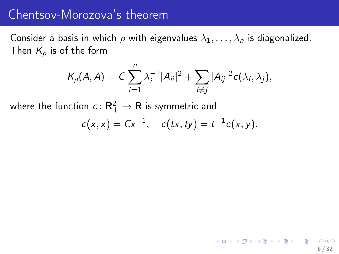### Chentsov-Morozova's theorem

Consider a basis in which  $\rho$  with eigenvalues  $\lambda_1, \ldots, \lambda_n$  is diagonalized. Then  $K_{\rho}$  is of the form

$$
K_{\rho}(A,A)=C\sum_{i=1}^n\lambda_i^{-1}|A_{ii}|^2+\sum_{i\neq j}|A_{ij}|^2c(\lambda_i,\lambda_j),
$$

where the function  $\, c \colon \mathsf{R}^2_+ \to \mathsf{R}$  is symmetric and

$$
c(x,x) = Cx^{-1}, \quad c(tx, ty) = t^{-1}c(x,y).
$$

6 / 32

K ロ X x (@ X X 营 X X 营 X ) 를 → ⊙ Q (~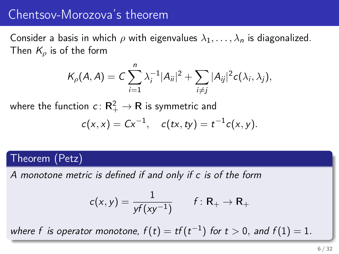# Chentsov-Morozova's theorem

Consider a basis in which  $\rho$  with eigenvalues  $\lambda_1, \ldots, \lambda_n$  is diagonalized. Then  $K_{\rho}$  is of the form

$$
K_{\rho}(A,A)=C\sum_{i=1}^n\lambda_i^{-1}|A_{ii}|^2+\sum_{i\neq j}|A_{ij}|^2c(\lambda_i,\lambda_j),
$$

where the function  $\, c \colon \mathsf{R}^2_+ \to \mathsf{R}$  is symmetric and

$$
c(x,x) = Cx^{-1}, \quad c(tx, ty) = t^{-1}c(x,y).
$$

### Theorem (Petz)

A monotone metric is defined if and only if c is of the form

$$
c(x,y) = \frac{1}{yf(xy^{-1})} \qquad f: \mathsf{R}_{+} \to \mathsf{R}_{+}
$$

where f is operator monotone,  $f(t) = tf(t^{-1})$  for  $t > 0$ , and  $f(1) = 1$ .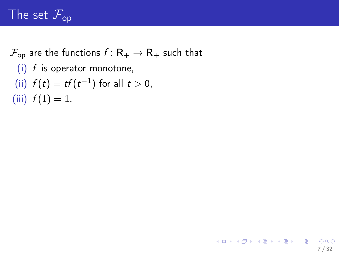# The set  $\mathcal{F}_{\mathsf{on}}$

# $\mathcal{F}_{op}$  are the functions  $f: \mathbf{R}_{+} \to \mathbf{R}_{+}$  such that  $(i)$  f is operator monotone, (ii)  $f(t) = tf(t^{-1})$  for all  $t > 0$ , (iii)  $f(1) = 1$ .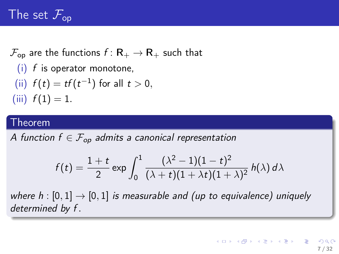### $\mathcal{F}_{\text{on}}$  are the functions  $f: \mathbf{R}_{+} \to \mathbf{R}_{+}$  such that

 $(i)$  f is operator monotone,

(ii) 
$$
f(t) = tf(t^{-1})
$$
 for all  $t > 0$ ,

(iii)  $f(1) = 1$ .

### **Theorem**

A function  $f \in \mathcal{F}_{op}$  admits a canonical representation

$$
f(t) = \frac{1+t}{2} \exp \int_0^1 \frac{(\lambda^2 - 1)(1-t)^2}{(\lambda + t)(1 + \lambda t)(1 + \lambda)^2} h(\lambda) d\lambda
$$

where h :  $[0,1] \rightarrow [0,1]$  is measurable and (up to equivalence) uniquely determined by f.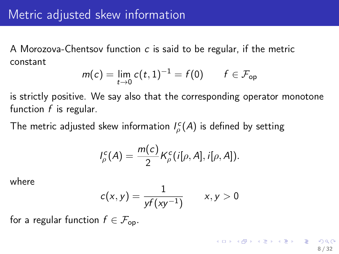A Morozova-Chentsov function c is said to be regular, if the metric constant

$$
m(c) = \lim_{t \to 0} c(t, 1)^{-1} = f(0) \qquad f \in \mathcal{F}_{op}
$$

is strictly positive. We say also that the corresponding operator monotone function  $f$  is regular.

The metric adjusted skew information  $I_\rho^c(A)$  is defined by setting

$$
I_{\rho}^{c}(A)=\frac{m(c)}{2}K_{\rho}^{c}(i[\rho,A],i[\rho,A]).
$$

where

$$
c(x,y)=\frac{1}{yf(xy^{-1})}\qquad x,y>0
$$

8 / 32

イロト 不優 トス 重 トス 重 トー 重

for a regular function  $f \in \mathcal{F}_{op}$ .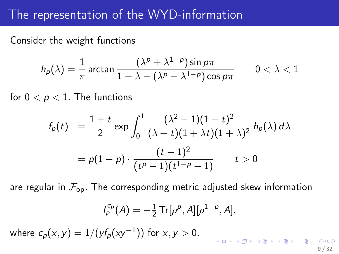## The representation of the WYD-information

Consider the weight functions

$$
h_{p}(\lambda) = \frac{1}{\pi} \arctan \frac{(\lambda^{p} + \lambda^{1-p}) \sin p\pi}{1 - \lambda - (\lambda^{p} - \lambda^{1-p}) \cos p\pi} \qquad 0 < \lambda < 1
$$

for  $0 < p < 1$ . The functions

$$
f_p(t) = \frac{1+t}{2} \exp \int_0^1 \frac{(\lambda^2 - 1)(1-t)^2}{(\lambda + t)(1 + \lambda t)(1 + \lambda)^2} h_p(\lambda) d\lambda
$$

$$
= p(1-p) \cdot \frac{(t-1)^2}{(t^p - 1)(t^{1-p} - 1)} \qquad t > 0
$$

are regular in  $\mathcal{F}_{op}$ . The corresponding metric adjusted skew information

$$
I_{\rho}^{c_{p}}(A)=-\frac{1}{2}\mathrm{Tr}[\rho^{p},A][\rho^{1-p},A],
$$

where  $c_p(x, y) = 1/(y f_p(x y^{-1}))$  for  $x, y > 0$ .

9 / 32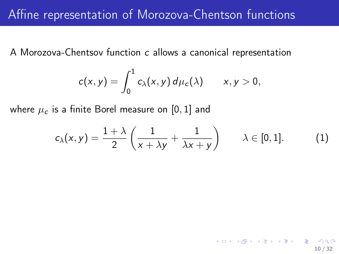A Morozova-Chentsov function c allows a canonical representation

$$
c(x,y)=\int_0^1 c_\lambda(x,y)\,d\mu_c(\lambda)\qquad x,y>0,
$$

where  $\mu_c$  is a finite Borel measure on [0, 1] and

$$
c_{\lambda}(x,y)=\frac{1+\lambda}{2}\left(\frac{1}{x+\lambda y}+\frac{1}{\lambda x+y}\right) \qquad \lambda\in [0,1]. \tag{1}
$$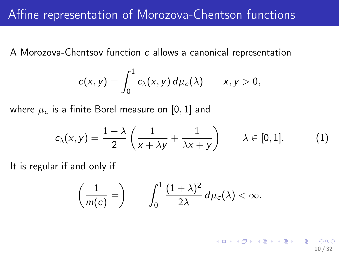A Morozova-Chentsov function c allows a canonical representation

$$
c(x,y)=\int_0^1 c_\lambda(x,y)\,d\mu_c(\lambda)\qquad x,y>0,
$$

where  $\mu_c$  is a finite Borel measure on [0, 1] and

$$
c_{\lambda}(x,y)=\frac{1+\lambda}{2}\left(\frac{1}{x+\lambda y}+\frac{1}{\lambda x+y}\right) \qquad \lambda\in [0,1].
$$
 (1)

It is regular if and only if

$$
\left(\frac{1}{m(c)}\right) \qquad \int_0^1 \frac{(1+\lambda)^2}{2\lambda} d\mu_c(\lambda) < \infty.
$$

イロト 不優 ト 不思 ト 不思 トー 温 10 / 32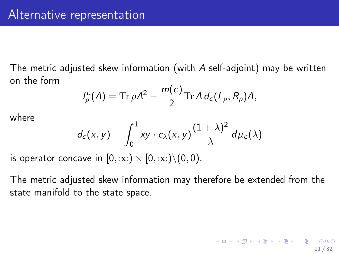The metric adjusted skew information (with A self-adjoint) may be written on the form

$$
I_{\rho}^{c}(A)=\mathrm{Tr}\,\rho A^{2}-\frac{m(c)}{2}\mathrm{Tr}\,A\,d_{c}(L_{\rho},R_{\rho})A,
$$

where

$$
d_c(x,y) = \int_0^1 xy \cdot c_{\lambda}(x,y) \frac{(1+\lambda)^2}{\lambda} d\mu_c(\lambda)
$$

is operator concave in  $[0, \infty) \times [0, \infty) \setminus (0, 0)$ .

The metric adjusted skew information may therefore be extended from the state manifold to the state space.

11 / 32

K ロ ▶ K @ ▶ K 할 ▶ K 할 ▶ → 할 → 9 Q @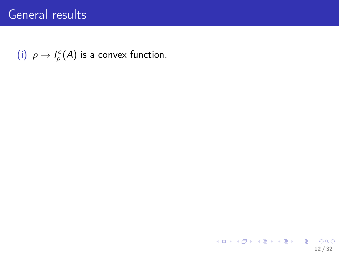(i)  $\rho \to I_\rho^c(A)$  is a convex function.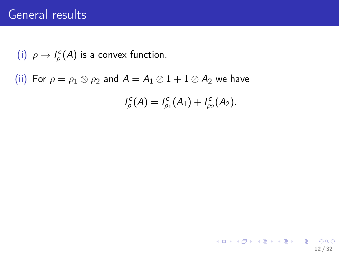(i)  $\rho \to I_\rho^c(A)$  is a convex function.

(ii) For  $\rho = \rho_1 \otimes \rho_2$  and  $A = A_1 \otimes 1 + 1 \otimes A_2$  we have  $I_{\rho}^{c}(A) = I_{\rho_1}^{c}(A_1) + I_{\rho_2}^{c}(A_2).$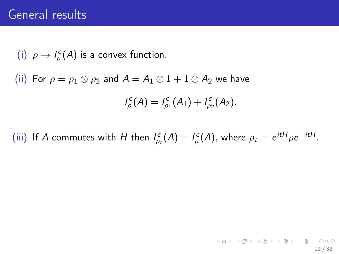(i)  $\rho \to I_\rho^c(A)$  is a convex function.

(ii) For  $\rho = \rho_1 \otimes \rho_2$  and  $A = A_1 \otimes 1 + 1 \otimes A_2$  we have  $I_{\rho}^{c}(A) = I_{\rho_1}^{c}(A_1) + I_{\rho_2}^{c}(A_2).$ 

(iii) If A commutes with H then  $I_{\rho_t}^c(A) = I_{\rho}^c(A)$ , where  $\rho_t = e^{itH} \rho e^{-itH}$ .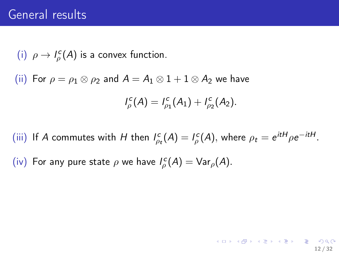(i)  $\rho \to I_\rho^c(A)$  is a convex function.

(ii) For  $\rho = \rho_1 \otimes \rho_2$  and  $A = A_1 \otimes 1 + 1 \otimes A_2$  we have  $I_{\rho}^{c}(A) = I_{\rho_1}^{c}(A_1) + I_{\rho_2}^{c}(A_2).$ 

(iii) If A commutes with H then  $I_{\rho_t}^c(A) = I_{\rho}^c(A)$ , where  $\rho_t = e^{itH} \rho e^{-itH}$ . (iv) For any pure state  $\rho$  we have  $I_{\rho}^{c}(A) = \text{Var}_{\rho}(A)$ .

12 / 32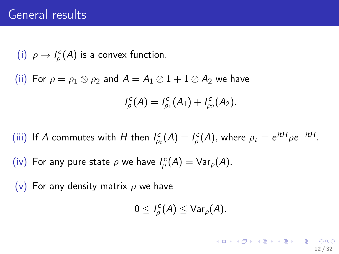(i)  $\rho \to I_\rho^c(A)$  is a convex function.

(ii) For  $\rho = \rho_1 \otimes \rho_2$  and  $A = A_1 \otimes 1 + 1 \otimes A_2$  we have  $I_{\rho}^{c}(A) = I_{\rho_1}^{c}(A_1) + I_{\rho_2}^{c}(A_2).$ 

(iii) If A commutes with H then  $I_{\rho_t}^c(A) = I_{\rho}^c(A)$ , where  $\rho_t = e^{itH} \rho e^{-itH}$ . (iv) For any pure state  $\rho$  we have  $I_{\rho}^{c}(A) = \text{Var}_{\rho}(A)$ . (v) For any density matrix  $\rho$  we have

$$
0\leq I_{\rho}^{c}(A)\leq \text{Var}_{\rho}(A).
$$

4 ロ > 4 레 > 4 로 > 4 로 > 트로드 - 9 Q Q\* 12 / 32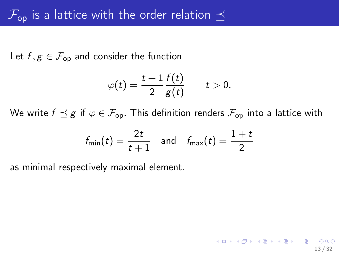Let  $f, g \in \mathcal{F}_{op}$  and consider the function

$$
\varphi(t)=\frac{t+1}{2}\frac{f(t)}{g(t)}\qquad t>0.
$$

We write  $f \preceq g$  if  $\varphi \in \mathcal{F}_{op}$ . This definition renders  $\mathcal{F}_{op}$  into a lattice with

$$
f_{\min}(t) = \frac{2t}{t+1} \quad \text{and} \quad f_{\max}(t) = \frac{1+t}{2}
$$

13 / 32

K ロ ▶ K @ ▶ K 할 ▶ K 할 ▶ → 할 → 9 Q @

as minimal respectively maximal element.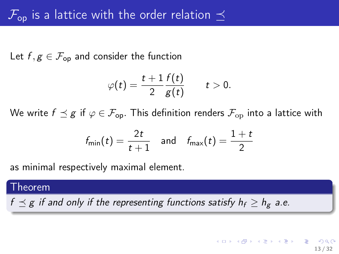Let  $f, g \in \mathcal{F}_{op}$  and consider the function

$$
\varphi(t)=\frac{t+1}{2}\frac{f(t)}{g(t)}\qquad t>0.
$$

We write  $f \preceq g$  if  $\varphi \in \mathcal{F}_{op}$ . This definition renders  $\mathcal{F}_{op}$  into a lattice with

$$
f_{\min}(t) = \frac{2t}{t+1} \quad \text{and} \quad f_{\max}(t) = \frac{1+t}{2}
$$

as minimal respectively maximal element.

#### Theorem

 $f \preceq g$  if and only if the representing functions satisfy  $h_f \geq h_g$  a.e.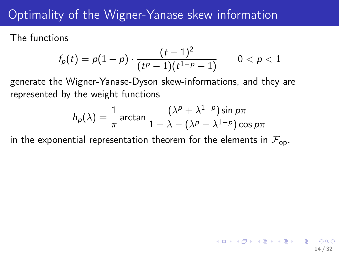# Optimality of the Wigner-Yanase skew information

The functions

$$
f_{\rho}(t)=\rho(1-\rho)\cdot\frac{(t-1)^2}{(t^{\rho}-1)(t^{1-\rho}-1)}\qquad 0<\rho<1
$$

generate the Wigner-Yanase-Dyson skew-informations, and they are represented by the weight functions

$$
h_p(\lambda) = \frac{1}{\pi} \arctan \frac{(\lambda^p + \lambda^{1-p}) \sin p\pi}{1 - \lambda - (\lambda^p - \lambda^{1-p}) \cos p\pi}
$$

14 / 32

イロト (個) (差) (差) (差) のQC

in the exponential representation theorem for the elements in  $\mathcal{F}_{\text{op}}$ .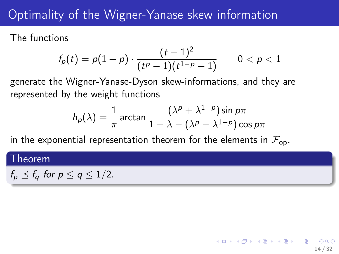# Optimality of the Wigner-Yanase skew information

The functions

$$
f_{\rho}(t)=\rho(1-\rho)\cdot\frac{(t-1)^2}{(t^{\rho}-1)(t^{1-\rho}-1)}\qquad 0<\rho<1
$$

generate the Wigner-Yanase-Dyson skew-informations, and they are represented by the weight functions

$$
h_p(\lambda) = \frac{1}{\pi} \arctan \frac{(\lambda^p + \lambda^{1-p}) \sin p\pi}{1 - \lambda - (\lambda^p - \lambda^{1-p}) \cos p\pi}
$$

14 / 32

K ロ X K @ X K 할 X K 할 X ( 할

in the exponential representation theorem for the elements in  $\mathcal{F}_{op}$ .

#### Theorem

$$
f_p \preceq f_q \text{ for } p \leq q \leq 1/2.
$$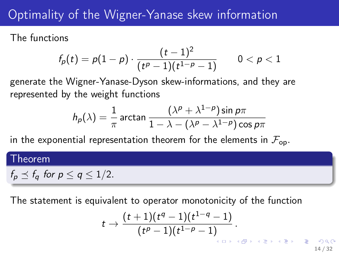# Optimality of the Wigner-Yanase skew information

The functions

$$
f_{\rho}(t)=\rho(1-\rho)\cdot\frac{(t-1)^2}{(t^{\rho}-1)(t^{1-\rho}-1)}\qquad 0<\rho<1
$$

generate the Wigner-Yanase-Dyson skew-informations, and they are represented by the weight functions

$$
h_p(\lambda) = \frac{1}{\pi} \arctan \frac{(\lambda^p + \lambda^{1-p}) \sin p\pi}{1 - \lambda - (\lambda^p - \lambda^{1-p}) \cos p\pi}
$$

in the exponential representation theorem for the elements in  $\mathcal{F}_{op}$ .

#### Theorem

$$
f_p \preceq f_q \text{ for } p \leq q \leq 1/2.
$$

The statement is equivalent to operator monotonicity of the function

$$
t\rightarrow \frac{(t+1)(t^q-1)(t^{1-q}-1)}{(t^p-1)(t^{1-p}-1)}.
$$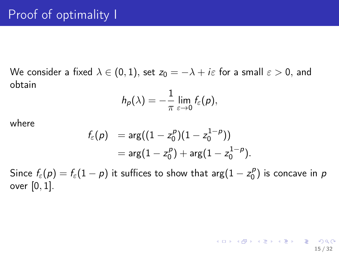We consider a fixed  $\lambda \in (0,1)$ , set  $z_0 = -\lambda + i\varepsilon$  for a small  $\varepsilon > 0$ , and obtain

$$
h_p(\lambda)=-\frac{1}{\pi}\lim_{\varepsilon\to 0}f_\varepsilon(p),
$$

where

$$
f_{\varepsilon}(p) = \arg((1 - z_0^p)(1 - z_0^{1-p}))
$$
  
= 
$$
\arg(1 - z_0^p) + \arg(1 - z_0^{1-p}).
$$

Since  $f_\varepsilon(p)=f_\varepsilon(1-p)$  it suffices to show that arg $(1-z_0^p)$  $\binom{p}{0}$  is concave in  $p$ over [0, 1].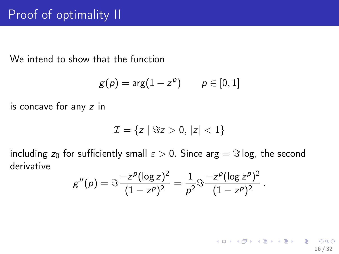We intend to show that the function

$$
g(p) = \arg(1-z^p) \qquad p \in [0,1]
$$

is concave for any z in

$$
\mathcal{I}=\{z\mid \Im z>0,\,|z|<1\}
$$

including  $z_0$  for sufficiently small  $\varepsilon > 0$ . Since arg =  $\Im \log$ , the second derivative

$$
g''(p) = \Im \frac{-z^p (\log z)^2}{(1-z^p)^2} = \frac{1}{p^2} \Im \frac{-z^p (\log z^p)^2}{(1-z^p)^2}.
$$

K ロ X X @ X X 할 X X 할 X X 할 ...  $QQ$ 16 / 32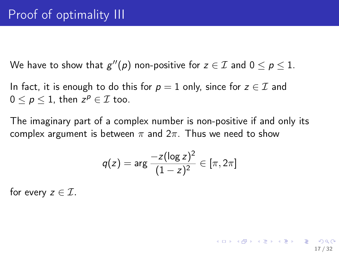We have to show that  $g''(p)$  non-positive for  $z\in\mathcal{I}$  and  $0\leq p\leq 1.$ 

In fact, it is enough to do this for  $p = 1$  only, since for  $z \in \mathcal{I}$  and  $0 \leq p \leq 1$ , then  $z^p \in \mathcal{I}$  too.

The imaginary part of a complex number is non-positive if and only its complex argument is between  $\pi$  and  $2\pi$ . Thus we need to show

$$
q(z)=\arg\frac{-z(\log z)^2}{(1-z)^2}\in[\pi,2\pi]
$$

17 / 32

제 그 씨 지 않아. 제 결 에 제 결 에 이 결 ...

for every  $z \in \mathcal{I}$ .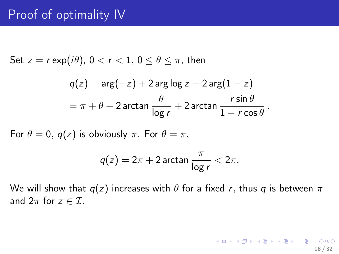Set  $z = r \exp(i\theta)$ ,  $0 < r < 1$ ,  $0 \le \theta \le \pi$ , then

$$
q(z) = \arg(-z) + 2 \arg \log z - 2 \arg(1 - z)
$$
  
=  $\pi + \theta + 2 \arctan \frac{\theta}{\log r} + 2 \arctan \frac{r \sin \theta}{1 - r \cos \theta}$ .

For  $\theta = 0$ ,  $q(z)$  is obviously  $\pi$ . For  $\theta = \pi$ ,

$$
q(z) = 2\pi + 2 \arctan \frac{\pi}{\log r} < 2\pi.
$$

We will show that  $q(z)$  increases with  $\theta$  for a fixed r, thus q is between  $\pi$ and  $2\pi$  for  $z \in \mathcal{I}$ .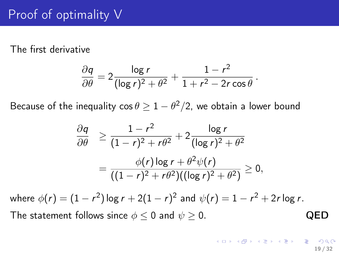#### The first derivative

$$
\frac{\partial q}{\partial \theta} = 2 \frac{\log r}{(\log r)^2 + \theta^2} + \frac{1 - r^2}{1 + r^2 - 2r \cos \theta}.
$$

Because of the inequality  $\cos \theta \geq 1 - \theta^2/2$ , we obtain a lower bound

$$
\frac{\partial q}{\partial \theta} \ge \frac{1-r^2}{(1-r)^2+r\theta^2} + 2\frac{\log r}{(\log r)^2+\theta^2}
$$

$$
= \frac{\phi(r)\log r + \theta^2 \psi(r)}{((1-r)^2+r\theta^2)((\log r)^2+\theta^2)} \ge 0,
$$

where  $\phi(r)=(1-r^2)\log r+2(1-r)^2$  and  $\psi(r)=1-r^2+2r\log r.$ The statement follows since  $\phi \leq 0$  and  $\psi \geq 0$ . QED

> **KORK REPARED BE VOOR** 19 / 32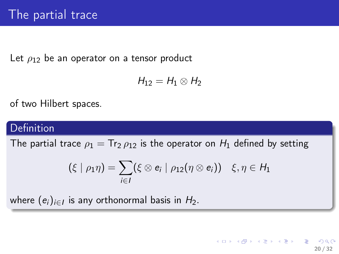Let  $\rho_{12}$  be an operator on a tensor product

$$
\mathit{H}_{12}=\mathit{H}_1\otimes\mathit{H}_2
$$

of two Hilbert spaces.

### Definition

The partial trace  $\rho_1 = Tr_2 \rho_{12}$  is the operator on  $H_1$  defined by setting

$$
(\xi \mid \rho_1 \eta) = \sum_{i \in I} (\xi \otimes e_i \mid \rho_{12}(\eta \otimes e_i)) \quad \xi, \eta \in H_1
$$

where  $(e_i)_{i\in I}$  is any orthonormal basis in  $H_2.$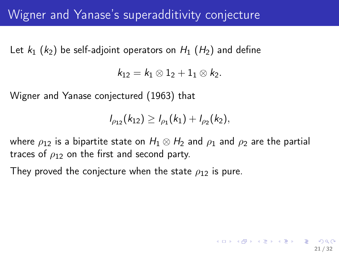# Wigner and Yanase's superadditivity conjecture

Let  $k_1$  ( $k_2$ ) be self-adjoint operators on  $H_1$  ( $H_2$ ) and define

$$
k_{12}=k_1\otimes 1_2+1_1\otimes k_2.
$$

Wigner and Yanase conjectured (1963) that

$$
I_{\rho_{12}}(k_{12}) \geq I_{\rho_1}(k_1) + I_{\rho_2}(k_2),
$$

where  $\rho_{12}$  is a bipartite state on  $H_1 \otimes H_2$  and  $\rho_1$  and  $\rho_2$  are the partial traces of  $\rho_{12}$  on the first and second party.

They proved the conjecture when the state  $\rho_{12}$  is pure.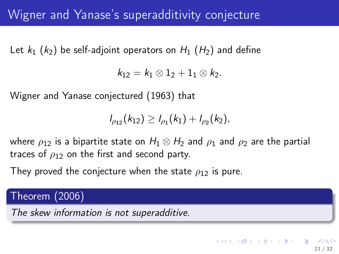# Wigner and Yanase's superadditivity conjecture

Let  $k_1$  ( $k_2$ ) be self-adjoint operators on  $H_1$  ( $H_2$ ) and define

 $k_{12} = k_1 \otimes 1_2 + 1_1 \otimes k_2.$ 

Wigner and Yanase conjectured (1963) that

$$
I_{\rho_{12}}(k_{12}) \geq I_{\rho_1}(k_1) + I_{\rho_2}(k_2),
$$

21 / 32

K ロ K K @ K K R X X R K T R

where  $\rho_{12}$  is a bipartite state on  $H_1 \otimes H_2$  and  $\rho_1$  and  $\rho_2$  are the partial traces of  $\rho_{12}$  on the first and second party.

They proved the conjecture when the state  $\rho_{12}$  is pure.

Theorem (2006)

The skew information is not superadditive.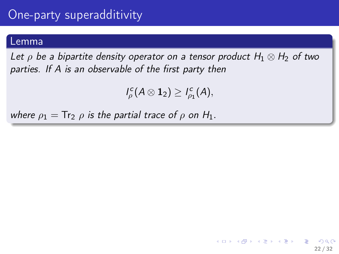#### Lemma

Let  $\rho$  be a bipartite density operator on a tensor product  $H_1 \otimes H_2$  of two parties. If A is an observable of the first party then

$$
I_{\rho}^{c}(A\otimes \mathbf{1}_{2})\geq I_{\rho_{1}}^{c}(A),
$$

22 / 32

세미 비서部 이 세점 비서 결과

where  $\rho_1 = Tr_2 \rho$  is the partial trace of  $\rho$  on  $H_1$ .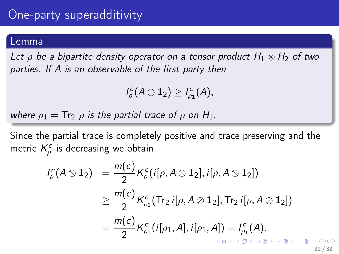#### Lemma

Let  $\rho$  be a bipartite density operator on a tensor product  $H_1 \otimes H_2$  of two parties. If A is an observable of the first party then

$$
I_{\rho}^{c}(A\otimes \mathbf{1}_{2})\geq I_{\rho_{1}}^{c}(A),
$$

where  $\rho_1 = Tr_2 \rho$  is the partial trace of  $\rho$  on  $H_1$ .

Since the partial trace is completely positive and trace preserving and the metric  $\kappa_\rho^c$  is decreasing we obtain

$$
I_{\rho}^{c}(A \otimes 1_{2}) = \frac{m(c)}{2} K_{\rho}^{c}(i[\rho, A \otimes 1_{2}], i[\rho, A \otimes 1_{2}])
$$
  
\n
$$
\geq \frac{m(c)}{2} K_{\rho_{1}}^{c}(Tr_{2} i[\rho, A \otimes 1_{2}], Tr_{2} i[\rho, A \otimes 1_{2}])
$$
  
\n
$$
= \frac{m(c)}{2} K_{\rho_{1}}^{c}(i[\rho_{1}, A], i[\rho_{1}, A]) = I_{\rho_{1}}^{c}(A).
$$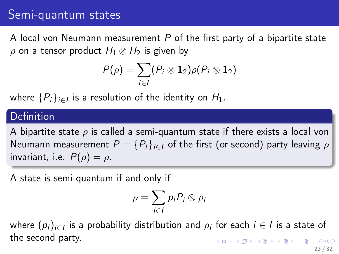## Semi-quantum states

A local von Neumann measurement  $P$  of the first party of a bipartite state  $\rho$  on a tensor product  $H_1 \otimes H_2$  is given by

$$
P(\rho)=\sum_{i\in I}(P_i\otimes \mathbf{1}_2)\rho(P_i\otimes \mathbf{1}_2)
$$

where  $\{P_i\}_{i\in I}$  is a resolution of the identity on  $H_1.$ 

### Definition

A bipartite state  $\rho$  is called a semi-quantum state if there exists a local von Neumann measurement  $P = \{P_i\}_{i\in I}$  of the first (or second) party leaving  $\rho$ invariant, i.e.  $P(\rho) = \rho$ .

A state is semi-quantum if and only if

$$
\rho=\sum_{i\in I}p_iP_i\otimes\rho_i
$$

where  $(p_i)_{i\in I}$  is a probability distribution and  $\rho_i$  for each  $i\in I$  is a state of the second party.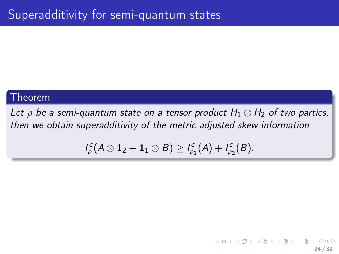#### Theorem

Let  $\rho$  be a semi-quantum state on a tensor product  $H_1 \otimes H_2$  of two parties, then we obtain superadditivity of the metric adjusted skew information

$$
I_{\rho}^c(A\otimes \mathbf{1}_2+\mathbf{1}_1\otimes B)\geq I_{\rho_1}^c(A)+I_{\rho_2}^c(B).
$$

24 / 32

キロメ メ御き メモチ メモチ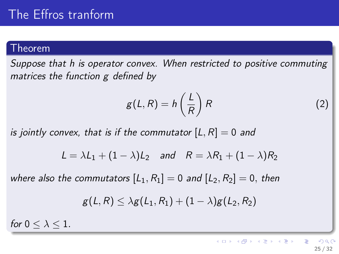#### Theorem

Suppose that h is operator convex. When restricted to positive commuting matrices the function g defined by

$$
g(L,R) = h\left(\frac{L}{R}\right)R\tag{2}
$$

is jointly convex, that is if the commutator  $[L, R] = 0$  and

$$
L = \lambda L_1 + (1 - \lambda)L_2 \quad \text{and} \quad R = \lambda R_1 + (1 - \lambda)R_2
$$

where also the commutators  $[L_1, R_1] = 0$  and  $[L_2, R_2] = 0$ , then

$$
g(L,R)\leq \lambda g(L_1,R_1)+(1-\lambda)g(L_2,R_2)
$$

for  $0 \leq \lambda \leq 1$ .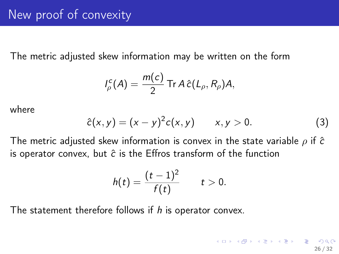The metric adjusted skew information may be written on the form

$$
I_{\rho}^{c}(A)=\frac{m(c)}{2}\operatorname{Tr} A\,\hat{c}(L_{\rho},R_{\rho})A,
$$

where

$$
\hat{c}(x, y) = (x - y)^2 c(x, y) \qquad x, y > 0.
$$
 (3)

The metric adjusted skew information is convex in the state variable  $\rho$  if  $\hat{c}$ is operator convex, but  $\hat{c}$  is the Effros transform of the function

$$
h(t)=\frac{(t-1)^2}{f(t)} \qquad t>0.
$$

The statement therefore follows if h is operator convex.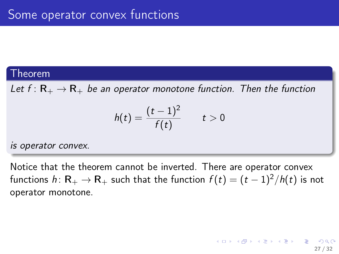#### Theorem

Let  $f: \mathbf{R}_{+} \to \mathbf{R}_{+}$  be an operator monotone function. Then the function

$$
h(t) = \frac{(t-1)^2}{f(t)} \qquad t > 0
$$

is operator convex.

Notice that the theorem cannot be inverted. There are operator convex functions  $h\colon \mathsf{R}_+\to \mathsf{R}_+$  such that the function  $f(t)=(t-1)^2/h(t)$  is not operator monotone.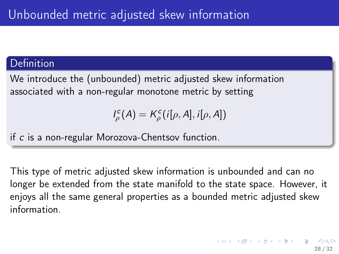### **Definition**

We introduce the (unbounded) metric adjusted skew information associated with a non-regular monotone metric by setting

$$
I_{\rho}^{c}(A) = K_{\rho}^{c}(i[\rho,A],i[\rho,A])
$$

if c is a non-regular Morozova-Chentsov function.

This type of metric adjusted skew information is unbounded and can no longer be extended from the state manifold to the state space. However, it enjoys all the same general properties as a bounded metric adjusted skew information.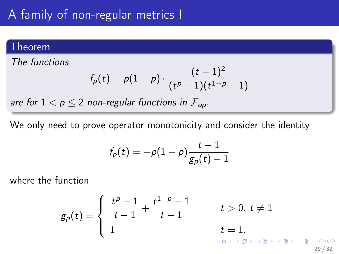# A family of non-regular metrics I

#### Theorem

The functions

$$
f_{\rho}(t)=\rho(1-\rho)\cdot\frac{(t-1)^2}{(t^{\rho}-1)(t^{1-\rho}-1)}
$$

are for  $1 < p \le 2$  non-regular functions in  $\mathcal{F}_{op}$ .

We only need to prove operator monotonicity and consider the identity

$$
f_{\rho}(t)=-\rho(1-\rho)\frac{t-1}{g_{\rho}(t)-1}
$$

where the function

$$
g_p(t) = \begin{cases} \frac{t^p - 1}{t - 1} + \frac{t^{1-p} - 1}{t - 1} & t > 0, t \neq 1 \\ 1 & t = 1. \end{cases}
$$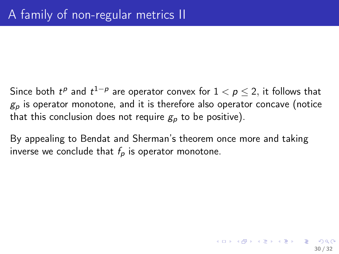Since both  $t^p$  and  $t^{1-p}$  are operator convex for  $1 < p \leq 2,$  it follows that  $g_p$  is operator monotone, and it is therefore also operator concave (notice that this conclusion does not require  $g_p$  to be positive).

By appealing to Bendat and Sherman's theorem once more and taking inverse we conclude that  $f_p$  is operator monotone.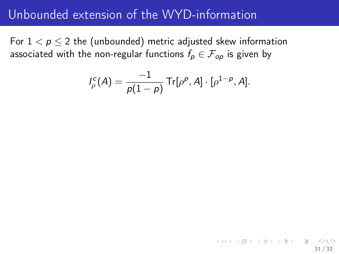For  $1 < p \le 2$  the (unbounded) metric adjusted skew information associated with the non-regular functions  $f_p \in \mathcal{F}_{op}$  is given by

$$
I_{\rho}^{c}(A)=\frac{-1}{\rho(1-\rho)}\operatorname{Tr}[\rho^{p},A]\cdot[\rho^{1-p},A].
$$

31 / 32

イロト イ御 トイ君 トイ君 トー 君 一つなび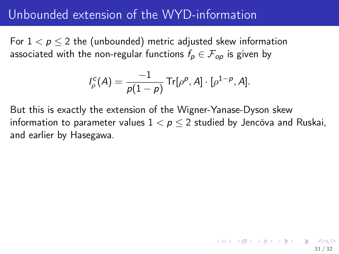For  $1 < p \leq 2$  the (unbounded) metric adjusted skew information associated with the non-regular functions  $f_p \in \mathcal{F}_{op}$  is given by

$$
I_{\rho}^{c}(A)=\frac{-1}{\rho(1-\rho)}\operatorname{Tr}[\rho^{p},A]\cdot[\rho^{1-p},A].
$$

But this is exactly the extension of the Wigner-Yanase-Dyson skew information to parameter values  $1 < p \leq 2$  studied by Jencŏva and Ruskai, and earlier by Hasegawa.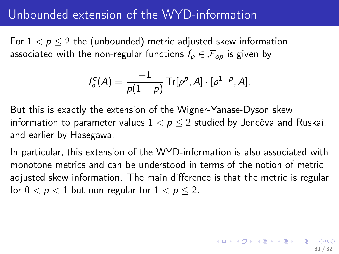For  $1 < p \le 2$  the (unbounded) metric adjusted skew information associated with the non-regular functions  $f_p \in \mathcal{F}_{op}$  is given by

<span id="page-45-0"></span>
$$
I_{\rho}^{c}(A)=\frac{-1}{\rho(1-\rho)}\operatorname{Tr}[\rho^{p},A]\cdot[\rho^{1-p},A].
$$

But this is exactly the extension of the Wigner-Yanase-Dyson skew information to parameter values  $1 < p \leq 2$  studied by Jencŏva and Ruskai, and earlier by Hasegawa.

In particular, this extension of the WYD-information is also associated with monotone metrics and can be understood in terms of the notion of metric adjusted skew information. The main difference is that the metric is regular for  $0 < p < 1$  but non-regular for  $1 < p < 2$ .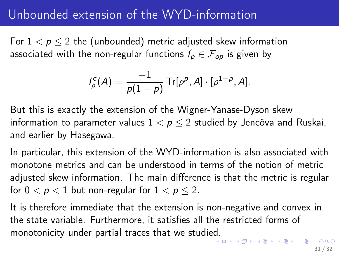For  $1 < p \le 2$  the (unbounded) metric adjusted skew information associated with the non-regular functions  $f_p \in \mathcal{F}_{op}$  is given by

$$
I_{\rho}^{c}(A)=\frac{-1}{\rho(1-\rho)}\operatorname{Tr}[\rho^{p},A]\cdot[\rho^{1-p},A].
$$

But this is exactly the extension of the Wigner-Yanase-Dyson skew information to parameter values  $1 < p \leq 2$  studied by Jencova and Ruskai, and earlier by Hasegawa.

In particular, this extension of the WYD-information is also associated with monotone metrics and can be understood in terms of the notion of metric adjusted skew information. The main difference is that the metric is regular for  $0 < p < 1$  but non-regular for  $1 < p < 2$ .

It is therefore immediate that the extension is non-negative and convex in the state variable. Furthermore, it satisfies all the restricted forms of monotonicity under partial traces that we studie[d.](#page-45-0)